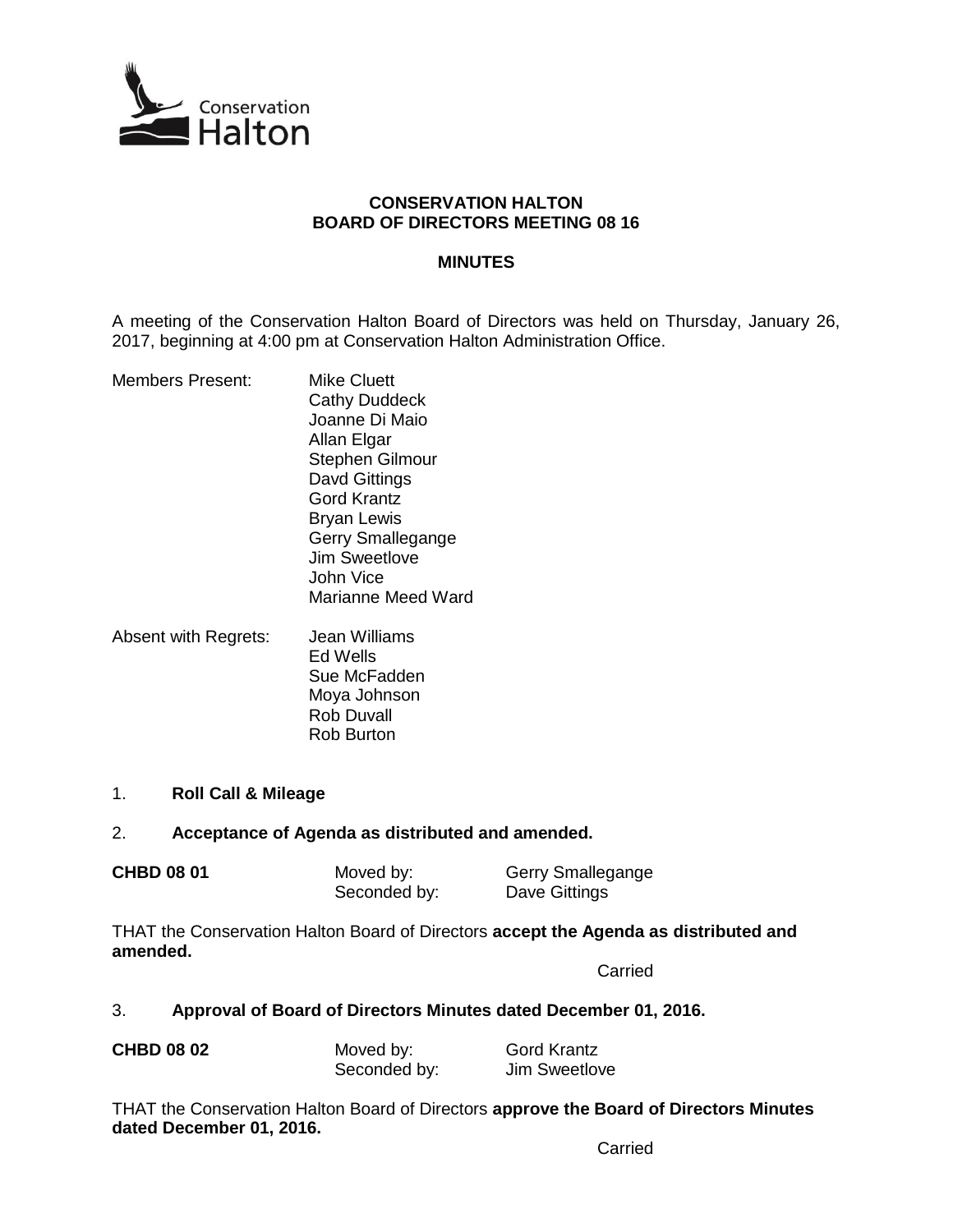

## **CONSERVATION HALTON BOARD OF DIRECTORS MEETING 08 16**

## **MINUTES**

A meeting of the Conservation Halton Board of Directors was held on Thursday, January 26, 2017, beginning at 4:00 pm at Conservation Halton Administration Office.

- Members Present: Mike Cluett Cathy Duddeck Joanne Di Maio Allan Elgar Stephen Gilmour Davd Gittings Gord Krantz Bryan Lewis Gerry Smallegange Jim Sweetlove John Vice Marianne Meed Ward
- Absent with Regrets: Jean Williams Ed Wells Sue McFadden Moya Johnson Rob Duvall Rob Burton
- 1. **Roll Call & Mileage**

## 2. **Acceptance of Agenda as distributed and amended.**

| <b>CHBD 08 01</b> | Moved by:    | Gerry Smallegange |
|-------------------|--------------|-------------------|
|                   | Seconded by: | Dave Gittings     |

THAT the Conservation Halton Board of Directors **accept the Agenda as distributed and amended.**

Carried

# 3. **Approval of Board of Directors Minutes dated December 01, 2016.**

| <b>CHBD 08 02</b> | Moved by:    | <b>Gord Krantz</b> |  |
|-------------------|--------------|--------------------|--|
|                   | Seconded by: | Jim Sweetlove      |  |

THAT the Conservation Halton Board of Directors **approve the Board of Directors Minutes dated December 01, 2016.**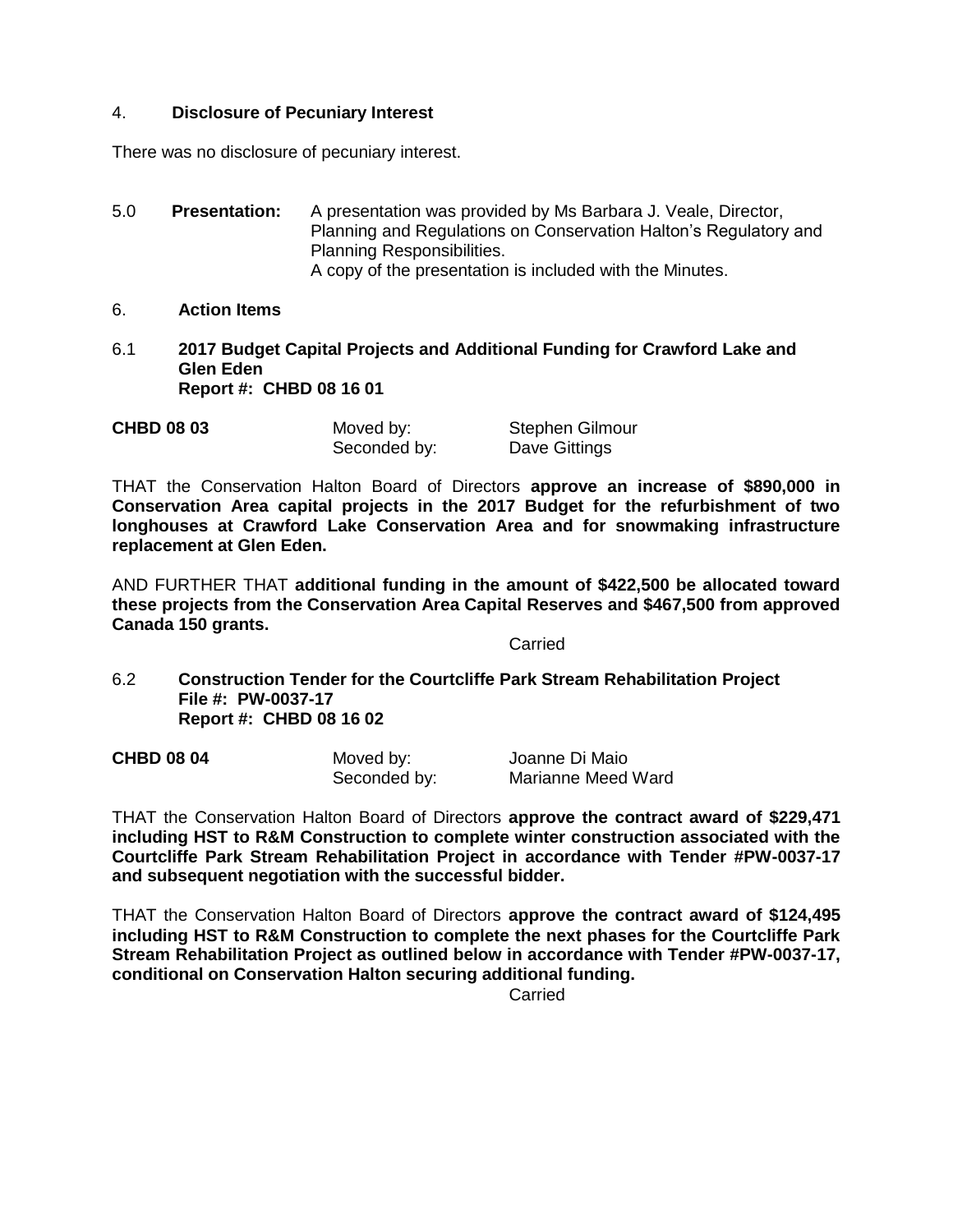## 4. **Disclosure of Pecuniary Interest**

There was no disclosure of pecuniary interest.

- 5.0 **Presentation:** A presentation was provided by Ms Barbara J. Veale, Director, Planning and Regulations on Conservation Halton's Regulatory and Planning Responsibilities. A copy of the presentation is included with the Minutes.
- 6. **Action Items**
- 6.1 **2017 Budget Capital Projects and Additional Funding for Crawford Lake and Glen Eden Report #: CHBD 08 16 01**

| <b>CHBD 08 03</b> | Moved by:    | Stephen Gilmour |
|-------------------|--------------|-----------------|
|                   | Seconded by: | Dave Gittings   |

THAT the Conservation Halton Board of Directors **approve an increase of \$890,000 in Conservation Area capital projects in the 2017 Budget for the refurbishment of two longhouses at Crawford Lake Conservation Area and for snowmaking infrastructure replacement at Glen Eden.** 

AND FURTHER THAT **additional funding in the amount of \$422,500 be allocated toward these projects from the Conservation Area Capital Reserves and \$467,500 from approved Canada 150 grants.**

Carried

6.2 **Construction Tender for the Courtcliffe Park Stream Rehabilitation Project File #: PW-0037-17 Report #: CHBD 08 16 02**

| <b>CHBD 08 04</b> | Moved by:    | Joanne Di Maio     |
|-------------------|--------------|--------------------|
|                   | Seconded by: | Marianne Meed Ward |

THAT the Conservation Halton Board of Directors **approve the contract award of \$229,471 including HST to R&M Construction to complete winter construction associated with the Courtcliffe Park Stream Rehabilitation Project in accordance with Tender #PW-0037-17 and subsequent negotiation with the successful bidder.**

THAT the Conservation Halton Board of Directors **approve the contract award of \$124,495 including HST to R&M Construction to complete the next phases for the Courtcliffe Park Stream Rehabilitation Project as outlined below in accordance with Tender #PW-0037-17, conditional on Conservation Halton securing additional funding.** 

**Carried**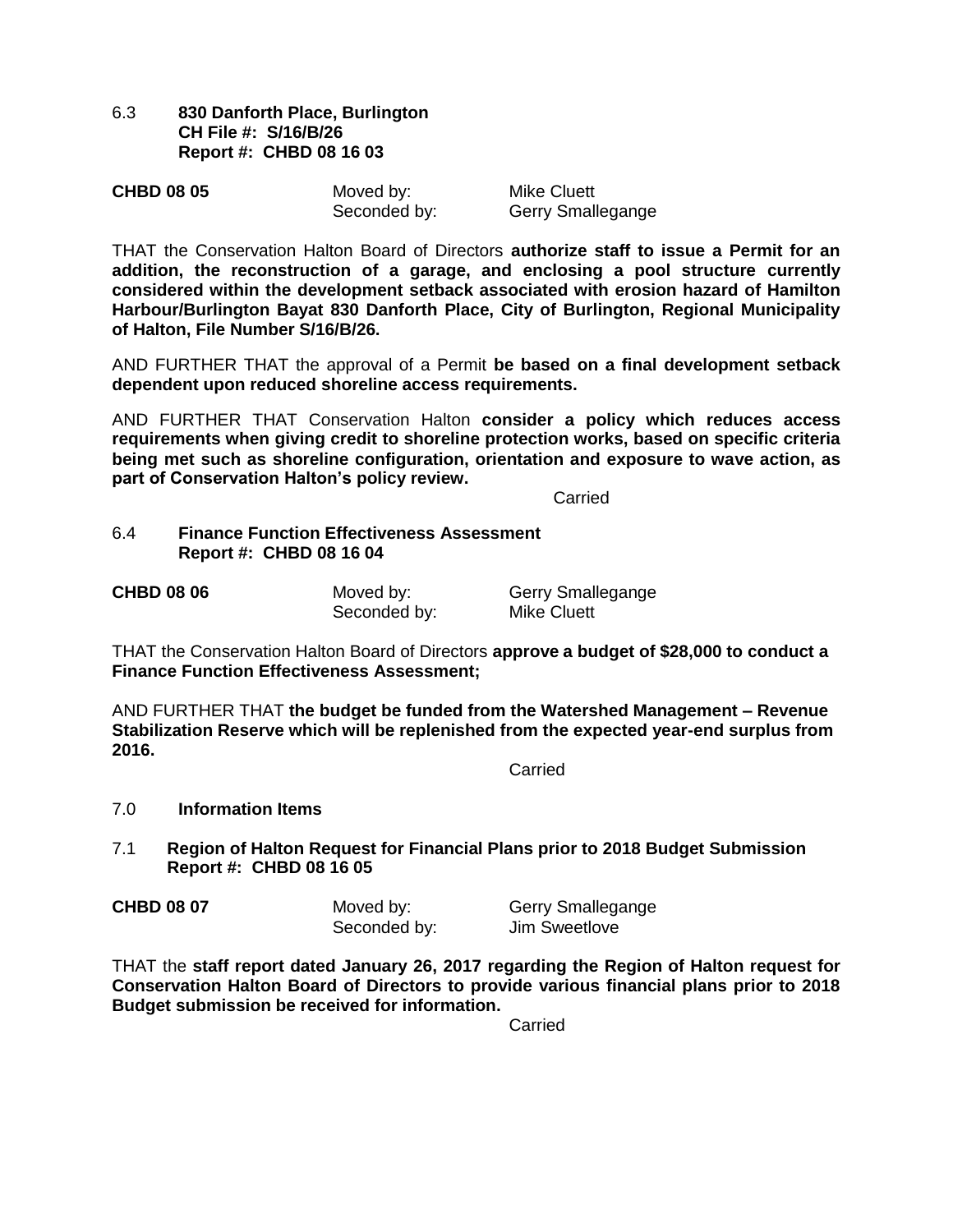6.3 **830 Danforth Place, Burlington CH File #: S/16/B/26 Report #: CHBD 08 16 03**

| <b>CHBD 08 05</b> | Moved by:    | Mike Cluett       |
|-------------------|--------------|-------------------|
|                   | Seconded by: | Gerry Smallegange |

THAT the Conservation Halton Board of Directors **authorize staff to issue a Permit for an addition, the reconstruction of a garage, and enclosing a pool structure currently considered within the development setback associated with erosion hazard of Hamilton Harbour/Burlington Bayat 830 Danforth Place, City of Burlington, Regional Municipality of Halton, File Number S/16/B/26.**

AND FURTHER THAT the approval of a Permit **be based on a final development setback dependent upon reduced shoreline access requirements.**

AND FURTHER THAT Conservation Halton **consider a policy which reduces access requirements when giving credit to shoreline protection works, based on specific criteria being met such as shoreline configuration, orientation and exposure to wave action, as part of Conservation Halton's policy review.**

**Carried** 

## 6.4 **Finance Function Effectiveness Assessment Report #: CHBD 08 16 04**

| <b>CHBD 08 06</b> | Moved by:    | Gerry Smallegange |
|-------------------|--------------|-------------------|
|                   | Seconded by: | Mike Cluett       |

THAT the Conservation Halton Board of Directors **approve a budget of \$28,000 to conduct a Finance Function Effectiveness Assessment;**

AND FURTHER THAT **the budget be funded from the Watershed Management – Revenue Stabilization Reserve which will be replenished from the expected year-end surplus from 2016.** 

**Carried** 

## 7.0 **Information Items**

7.1 **Region of Halton Request for Financial Plans prior to 2018 Budget Submission Report #: CHBD 08 16 05**

| <b>CHBD 08 07</b> | Moved by:    | Gerry Smallegange |
|-------------------|--------------|-------------------|
|                   | Seconded by: | Jim Sweetlove     |

THAT the **staff report dated January 26, 2017 regarding the Region of Halton request for Conservation Halton Board of Directors to provide various financial plans prior to 2018 Budget submission be received for information.**

**Carried**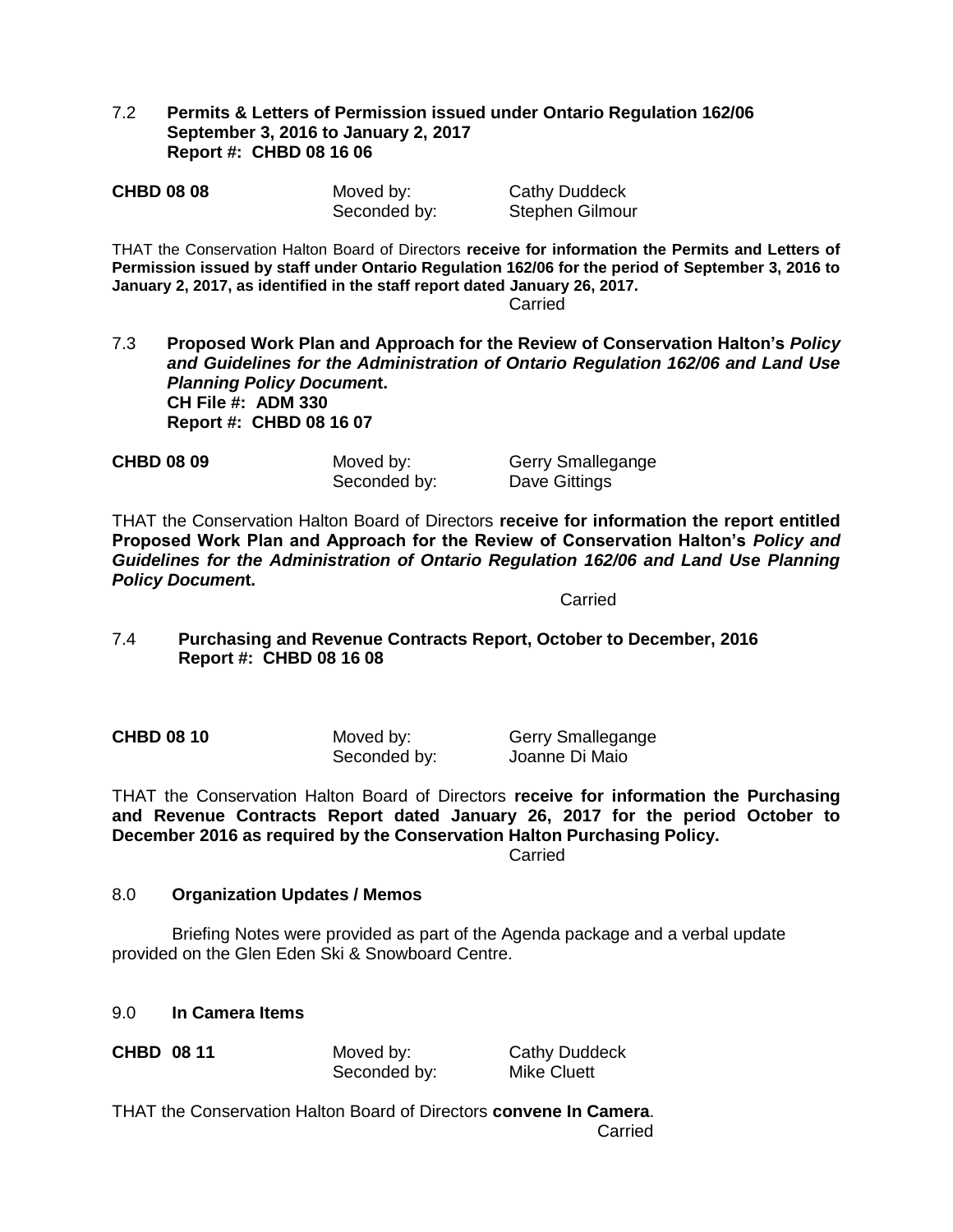## 7.2 **Permits & Letters of Permission issued under Ontario Regulation 162/06 September 3, 2016 to January 2, 2017 Report #: CHBD 08 16 06**

| <b>CHBD 08 08</b> | Moved by:    | <b>Cathy Duddeck</b> |
|-------------------|--------------|----------------------|
|                   | Seconded by: | Stephen Gilmour      |

THAT the Conservation Halton Board of Directors **receive for information the Permits and Letters of Permission issued by staff under Ontario Regulation 162/06 for the period of September 3, 2016 to January 2, 2017, as identified in the staff report dated January 26, 2017.**

Carried

7.3 **Proposed Work Plan and Approach for the Review of Conservation Halton's** *Policy and Guidelines for the Administration of Ontario Regulation 162/06 and Land Use Planning Policy Documen***t. CH File #: ADM 330 Report #: CHBD 08 16 07**

**CHBD 08 09** Moved by: Gerry Smallegange

Seconded by: Dave Gittings

THAT the Conservation Halton Board of Directors **receive for information the report entitled Proposed Work Plan and Approach for the Review of Conservation Halton's** *Policy and Guidelines for the Administration of Ontario Regulation 162/06 and Land Use Planning Policy Documen***t.**

**Carried** 

7.4 **Purchasing and Revenue Contracts Report, October to December, 2016 Report #: CHBD 08 16 08**

**CHBD 08 10** Moved by: Gerry Smallegange Seconded by: Joanne Di Maio

THAT the Conservation Halton Board of Directors **receive for information the Purchasing and Revenue Contracts Report dated January 26, 2017 for the period October to December 2016 as required by the Conservation Halton Purchasing Policy.** 

Carried

## 8.0 **Organization Updates / Memos**

Briefing Notes were provided as part of the Agenda package and a verbal update provided on the Glen Eden Ski & Snowboard Centre.

## 9.0 **In Camera Items**

Seconded by: Mike Cluett

**CHBD** 08 11 **Moved by:** Cathy Duddeck

THAT the Conservation Halton Board of Directors **convene In Camera**. Carried